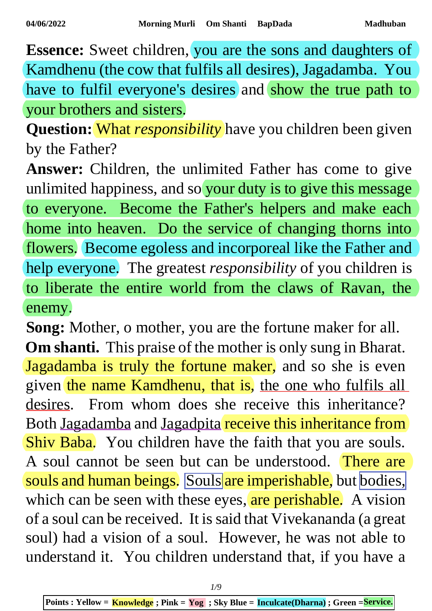**Essence:** Sweet children, you are the sons and daughters of Kamdhenu (the cow that fulfils all desires), Jagadamba. You have to fulfil everyone's desires and show the true path to your brothers and sisters.

**Question:** What *responsibility* have you children been given by the Father?

**Answer:** Children, the unlimited Father has come to give unlimited happiness, and so your duty is to give this message to everyone. Become the Father's helpers and make each home into heaven. Do the service of changing thorns into flowers. Become egoless and incorporeal like the Father and help everyone. The greatest *responsibility* of you children is to liberate the entire world from the claws of Ravan, the enemy.

**Song:** Mother, o mother, you are the fortune maker for all. **Om shanti.** This praise of the mother is only sung in Bharat. Jagadamba is truly the fortune maker, and so she is even given the name Kamdhenu, that is, the one who fulfils all desires. From whom does she receive this inheritance? Both Jagadamba and Jagadpita receive this inheritance from Shiv Baba. You children have the faith that you are souls. A soul cannot be seen but can be understood. There are souls and human beings. Souls are imperishable, but bodies, which can be seen with these eyes, are perishable. A vision of a soul can be received. It is said that Vivekananda (a great soul) had a vision of a soul. However, he was not able to understand it. You children understand that, if you have a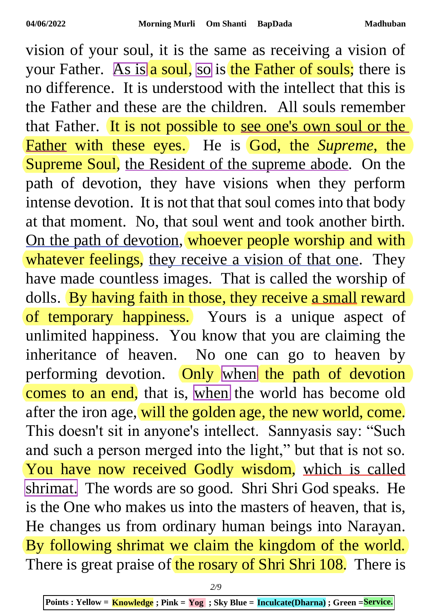vision of your soul, it is the same as receiving a vision of your Father. As is a soul, so is the Father of souls; there is no difference. It is understood with the intellect that this is the Father and these are the children. All souls remember that Father. It is not possible to see one's own soul or the Father with these eyes. He is God, the *Supreme*, the Supreme Soul, the Resident of the supreme abode. On the path of devotion, they have visions when they perform intense devotion. It is not that that soul comes into that body at that moment. No, that soul went and took another birth. On the path of devotion, whoever people worship and with whatever feelings, they receive a vision of that one. They have made countless images. That is called the worship of dolls. By having faith in those, they receive a small reward of temporary happiness. Yours is a unique aspect of unlimited happiness. You know that you are claiming the inheritance of heaven. No one can go to heaven by performing devotion. Only when the path of devotion comes to an end, that is, when the world has become old after the iron age, will the golden age, the new world, come. This doesn't sit in anyone's intellect. Sannyasis say: "Such and such a person merged into the light," but that is not so. You have now received Godly wisdom, which is called shrimat. The words are so good. Shri Shri God speaks. He is the One who makes us into the masters of heaven, that is, He changes us from ordinary human beings into Narayan. By following shrimat we claim the kingdom of the world. There is great praise of the rosary of Shri Shri 108. There is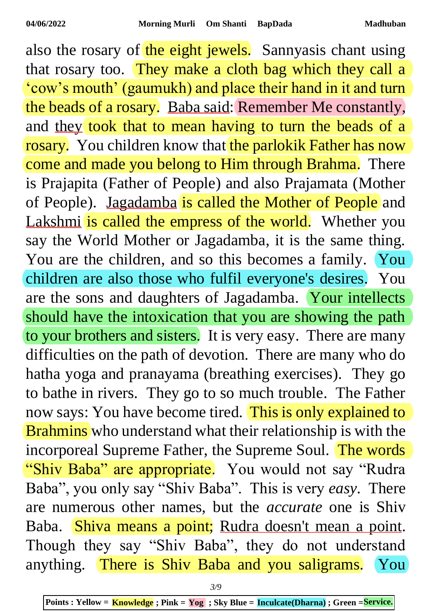also the rosary of the eight jewels. Sannyasis chant using that rosary too. They make a cloth bag which they call a 'cow's mouth' (gaumukh) and place their hand in it and turn the beads of a rosary. Baba said: Remember Me constantly, and they took that to mean having to turn the beads of a rosary. You children know that the parlokik Father has now come and made you belong to Him through Brahma. There is Prajapita (Father of People) and also Prajamata (Mother of People). Jagadamba is called the Mother of People and Lakshmi is called the empress of the world. Whether you say the World Mother or Jagadamba, it is the same thing. You are the children, and so this becomes a family. You children are also those who fulfil everyone's desires. You are the sons and daughters of Jagadamba. Your intellects should have the intoxication that you are showing the path to your brothers and sisters. It is very easy. There are many difficulties on the path of devotion. There are many who do hatha yoga and pranayama (breathing exercises). They go to bathe in rivers. They go to so much trouble. The Father now says: You have become tired. This is only explained to Brahmins who understand what their relationship is with the incorporeal Supreme Father, the Supreme Soul. The words "Shiv Baba" are appropriate. You would not say "Rudra" Baba", you only say "Shiv Baba". This is very *easy*. There are numerous other names, but the *accurate* one is Shiv Baba. Shiva means a point; Rudra doesn't mean a point. Though they say "Shiv Baba", they do not understand anything. There is Shiv Baba and you saligrams. You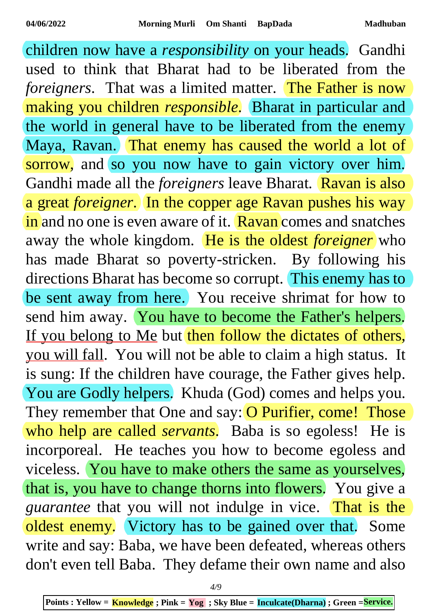children now have a *responsibility* on your heads. Gandhi used to think that Bharat had to be liberated from the *foreigners*. That was a limited matter. The Father is now making you children *responsible*. Bharat in particular and the world in general have to be liberated from the enemy Maya, Ravan. That enemy has caused the world a lot of sorrow, and so you now have to gain victory over him. Gandhi made all the *foreigners* leave Bharat. Ravan is also a great *foreigner*. In the copper age Ravan pushes his way in and no one is even aware of it. Ravan comes and snatches away the whole kingdom. He is the oldest *foreigner* who has made Bharat so poverty-stricken. By following his directions Bharat has become so corrupt. This enemy has to be sent away from here. You receive shrimat for how to send him away. You have to become the Father's helpers. If you belong to Me but then follow the dictates of others, you will fall. You will not be able to claim a high status. It is sung: If the children have courage, the Father gives help. You are Godly helpers. Khuda (God) comes and helps you. They remember that One and say: O Purifier, come! Those who help are called *servants*. Baba is so egoless! He is incorporeal. He teaches you how to become egoless and viceless. You have to make others the same as yourselves, that is, you have to change thorns into flowers. You give a *guarantee* that you will not indulge in vice. That is the oldest enemy. Victory has to be gained over that. Some write and say: Baba, we have been defeated, whereas others don't even tell Baba. They defame their own name and also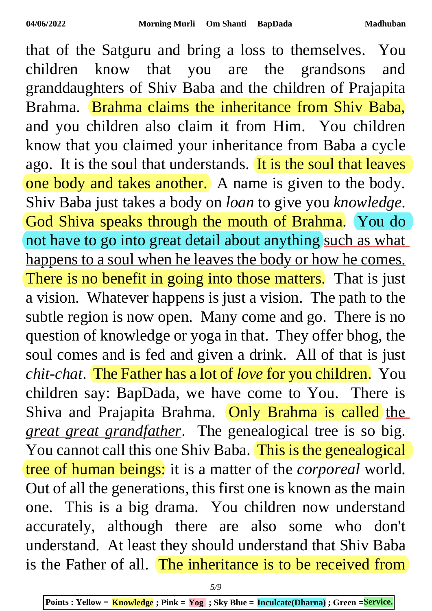that of the Satguru and bring a loss to themselves. You children know that you are the grandsons and granddaughters of Shiv Baba and the children of Prajapita Brahma. Brahma claims the inheritance from Shiv Baba, and you children also claim it from Him. You children know that you claimed your inheritance from Baba a cycle ago. It is the soul that understands. It is the soul that leaves one body and takes another. A name is given to the body. Shiv Baba just takes a body on *loan* to give you *knowledge*. God Shiva speaks through the mouth of Brahma. You do not have to go into great detail about anything such as what happens to a soul when he leaves the body or how he comes. There is no benefit in going into those matters. That is just a vision. Whatever happens is just a vision. The path to the subtle region is now open. Many come and go. There is no question of knowledge or yoga in that. They offer bhog, the soul comes and is fed and given a drink. All of that is just *chit-chat*. The Father has a lot of *love* for you children. You children say: BapDada, we have come to You. There is Shiva and Prajapita Brahma. Only Brahma is called the *great great grandfather*. The genealogical tree is so big. You cannot call this one Shiv Baba. This is the genealogical tree of human beings: it is a matter of the *corporeal* world. Out of all the generations, this first one is known as the main one. This is a big drama. You children now understand accurately, although there are also some who don't understand. At least they should understand that Shiv Baba is the Father of all. The inheritance is to be received from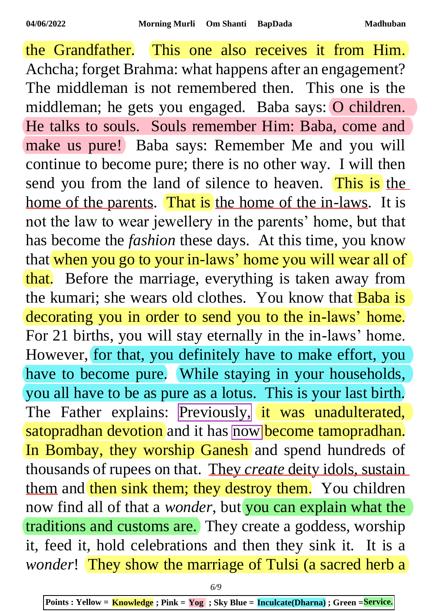the Grandfather. This one also receives it from Him. Achcha; forget Brahma: what happens after an engagement? The middleman is not remembered then. This one is the middleman; he gets you engaged. Baba says: O children. He talks to souls. Souls remember Him: Baba, come and make us pure! Baba says: Remember Me and you will continue to become pure; there is no other way. I will then send you from the land of silence to heaven. This is the home of the parents. That is the home of the in-laws. It is not the law to wear jewellery in the parents' home, but that has become the *fashion* these days. At this time, you know that when you go to your in-laws' home you will wear all of that. Before the marriage, everything is taken away from the kumari; she wears old clothes. You know that **Baba** is decorating you in order to send you to the in-laws' home. For 21 births, you will stay eternally in the in-laws' home. However, for that, you definitely have to make effort, you have to become pure. While staying in your households, you all have to be as pure as a lotus. This is your last birth. The Father explains: Previously, it was unadulterated, satopradhan devotion and it has now become tamopradhan. In Bombay, they worship Ganesh and spend hundreds of thousands of rupees on that. They *create* deity idols, sustain them and then sink them; they destroy them. You children now find all of that a *wonder*, but you can explain what the traditions and customs are. They create a goddess, worship it, feed it, hold celebrations and then they sink it. It is a *wonder*! They show the marriage of Tulsi (a sacred herb a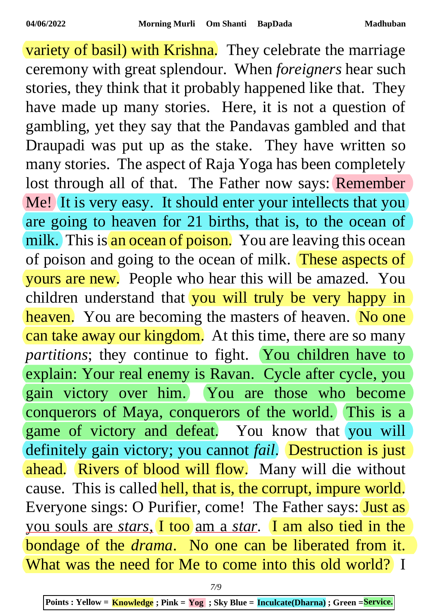variety of basil) with Krishna. They celebrate the marriage ceremony with great splendour. When *foreigners* hear such stories, they think that it probably happened like that. They have made up many stories. Here, it is not a question of gambling, yet they say that the Pandavas gambled and that Draupadi was put up as the stake. They have written so many stories. The aspect of Raja Yoga has been completely lost through all of that. The Father now says: Remember Me! It is very easy. It should enter your intellects that you are going to heaven for 21 births, that is, to the ocean of milk. This is an ocean of poison. You are leaving this ocean of poison and going to the ocean of milk. These aspects of yours are new. People who hear this will be amazed. You children understand that you will truly be very happy in heaven. You are becoming the masters of heaven. No one can take away our kingdom. At this time, there are so many partitions; they continue to fight. You children have to explain: Your real enemy is Ravan. Cycle after cycle, you gain victory over him. You are those who become conquerors of Maya, conquerors of the world. This is a game of victory and defeat. You know that you will definitely gain victory; you cannot *fail*. Destruction is just ahead. Rivers of blood will flow. Many will die without cause. This is called hell, that is, the corrupt, impure world. Everyone sings: O Purifier, come! The Father says: **Just as** you souls are *stars*, I too am a *star*. I am also tied in the bondage of the *drama*. No one can be liberated from it. What was the need for Me to come into this old world? I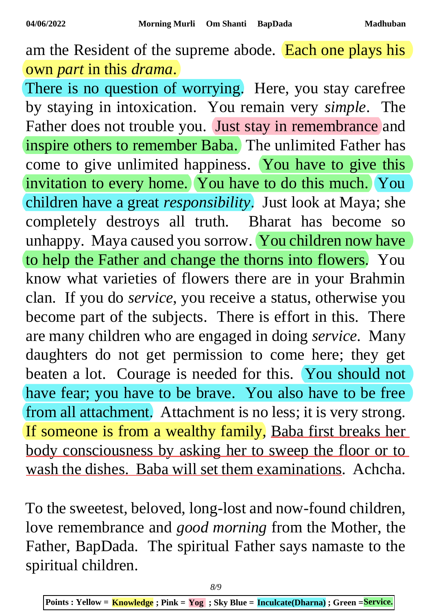am the Resident of the supreme abode. Each one plays his own *part* in this *drama*.

There is no question of worrying. Here, you stay carefree by staying in intoxication. You remain very *simple*. The Father does not trouble you. Just stay in remembrance and inspire others to remember Baba. The unlimited Father has come to give unlimited happiness. You have to give this invitation to every home. You have to do this much. You children have a great *responsibility*. Just look at Maya; she completely destroys all truth. Bharat has become so unhappy. Maya caused you sorrow. You children now have to help the Father and change the thorns into flowers. You know what varieties of flowers there are in your Brahmin clan. If you do *service*, you receive a status, otherwise you become part of the subjects. There is effort in this. There are many children who are engaged in doing *service*. Many daughters do not get permission to come here; they get beaten a lot. Courage is needed for this. You should not have fear; you have to be brave. You also have to be free from all attachment. Attachment is no less; it is very strong. If someone is from a wealthy family, Baba first breaks her body consciousness by asking her to sweep the floor or to wash the dishes. Baba will set them examinations. Achcha.

To the sweetest, beloved, long-lost and now-found children, love remembrance and *good morning* from the Mother, the Father, BapDada. The spiritual Father says namaste to the spiritual children.